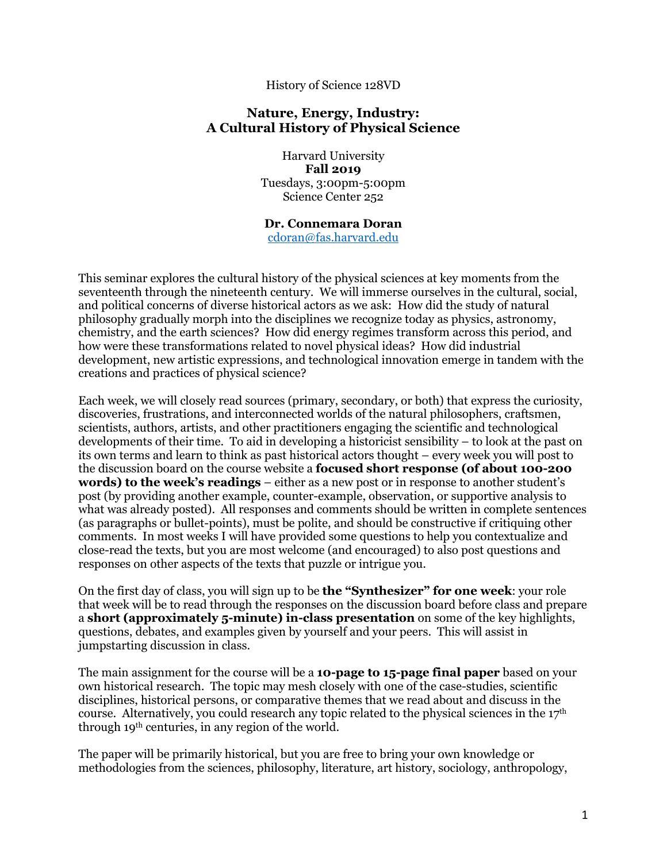#### History of Science 128VD

#### **Nature, Energy, Industry: A Cultural History of Physical Science**

Harvard University **Fall 2019**  Tuesdays, 3:00pm-5:00pm Science Center 252

#### **Dr. Connemara Doran**

cdoran@fas.harvard.edu

This seminar explores the cultural history of the physical sciences at key moments from the seventeenth through the nineteenth century. We will immerse ourselves in the cultural, social, and political concerns of diverse historical actors as we ask: How did the study of natural philosophy gradually morph into the disciplines we recognize today as physics, astronomy, chemistry, and the earth sciences? How did energy regimes transform across this period, and how were these transformations related to novel physical ideas? How did industrial development, new artistic expressions, and technological innovation emerge in tandem with the creations and practices of physical science?

Each week, we will closely read sources (primary, secondary, or both) that express the curiosity, discoveries, frustrations, and interconnected worlds of the natural philosophers, craftsmen, scientists, authors, artists, and other practitioners engaging the scientific and technological developments of their time. To aid in developing a historicist sensibility – to look at the past on its own terms and learn to think as past historical actors thought – every week you will post to the discussion board on the course website a **focused short response (of about 100-200 words) to the week's readings** – either as a new post or in response to another student's post (by providing another example, counter-example, observation, or supportive analysis to what was already posted). All responses and comments should be written in complete sentences (as paragraphs or bullet-points), must be polite, and should be constructive if critiquing other comments. In most weeks I will have provided some questions to help you contextualize and close-read the texts, but you are most welcome (and encouraged) to also post questions and responses on other aspects of the texts that puzzle or intrigue you.

On the first day of class, you will sign up to be **the "Synthesizer" for one week**: your role that week will be to read through the responses on the discussion board before class and prepare a **short (approximately 5-minute) in-class presentation** on some of the key highlights, questions, debates, and examples given by yourself and your peers. This will assist in jumpstarting discussion in class.

The main assignment for the course will be a **10-page to 15-page final paper** based on your own historical research. The topic may mesh closely with one of the case-studies, scientific disciplines, historical persons, or comparative themes that we read about and discuss in the course. Alternatively, you could research any topic related to the physical sciences in the 17th through 19th centuries, in any region of the world.

The paper will be primarily historical, but you are free to bring your own knowledge or methodologies from the sciences, philosophy, literature, art history, sociology, anthropology,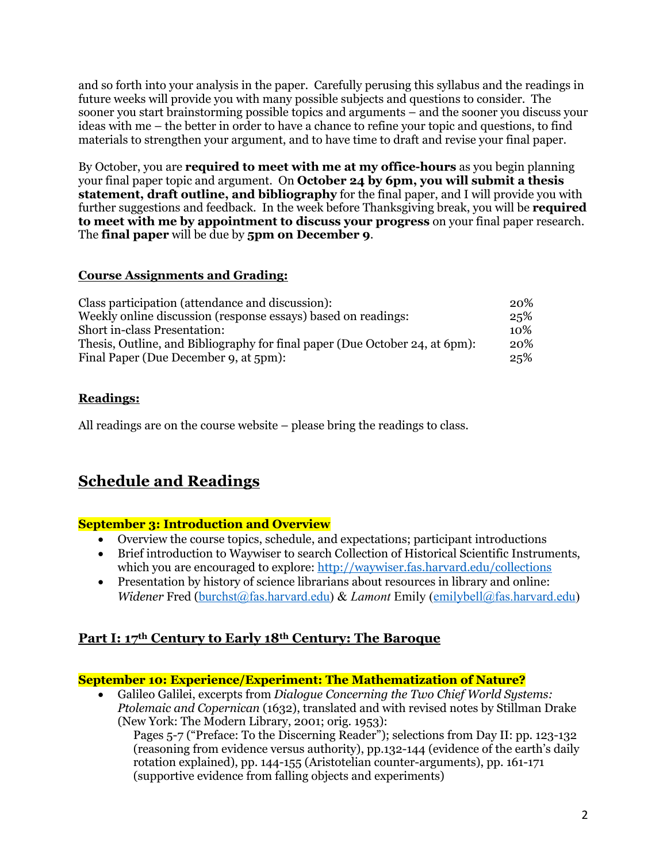and so forth into your analysis in the paper. Carefully perusing this syllabus and the readings in future weeks will provide you with many possible subjects and questions to consider. The sooner you start brainstorming possible topics and arguments – and the sooner you discuss your ideas with me – the better in order to have a chance to refine your topic and questions, to find materials to strengthen your argument, and to have time to draft and revise your final paper.

By October, you are **required to meet with me at my office-hours** as you begin planning your final paper topic and argument. On **October 24 by 6pm, you will submit a thesis statement, draft outline, and bibliography** for the final paper, and I will provide you with further suggestions and feedback. In the week before Thanksgiving break, you will be **required to meet with me by appointment to discuss your progress** on your final paper research. The **final paper** will be due by **5pm on December 9**.

#### **Course Assignments and Grading:**

| Class participation (attendance and discussion):                            | 20% |
|-----------------------------------------------------------------------------|-----|
| Weekly online discussion (response essays) based on readings:               | 25% |
| <b>Short in-class Presentation:</b>                                         | 10% |
| Thesis, Outline, and Bibliography for final paper (Due October 24, at 6pm): | 20% |
| Final Paper (Due December 9, at 5pm):                                       | 25% |

# **Readings:**

All readings are on the course website – please bring the readings to class.

# **Schedule and Readings**

## **September 3: Introduction and Overview**

- Overview the course topics, schedule, and expectations; participant introductions
- Brief introduction to Waywiser to search Collection of Historical Scientific Instruments, which you are encouraged to explore: http://waywiser.fas.harvard.edu/collections
- Presentation by history of science librarians about resources in library and online: *Widener* Fred (burchst@fas.harvard.edu) & *Lamont* Emily (emilybell@fas.harvard.edu)

# **Part I: 17th Century to Early 18th Century: The Baroque**

## **September 10: Experience/Experiment: The Mathematization of Nature?**

• Galileo Galilei, excerpts from *Dialogue Concerning the Two Chief World Systems: Ptolemaic and Copernican* (1632), translated and with revised notes by Stillman Drake (New York: The Modern Library, 2001; orig. 1953):

Pages 5-7 ("Preface: To the Discerning Reader"); selections from Day II: pp. 123-132 (reasoning from evidence versus authority), pp.132-144 (evidence of the earth's daily rotation explained), pp. 144-155 (Aristotelian counter-arguments), pp. 161-171 (supportive evidence from falling objects and experiments)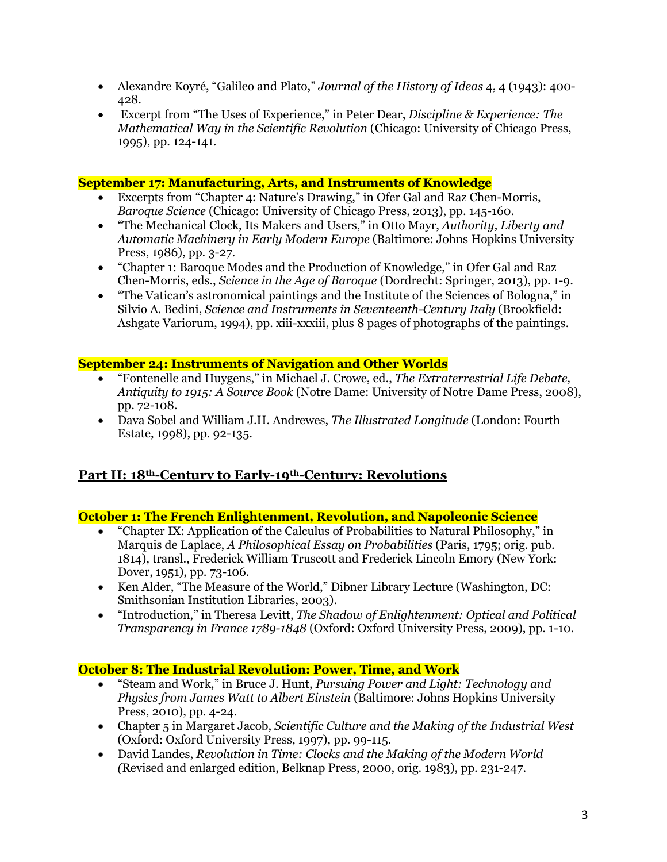- Alexandre Koyré, "Galileo and Plato," *Journal of the History of Ideas* 4, 4 (1943): 400- 428.
- Excerpt from "The Uses of Experience," in Peter Dear, *Discipline & Experience: The Mathematical Way in the Scientific Revolution* (Chicago: University of Chicago Press, 1995), pp. 124-141.

#### **September 17: Manufacturing, Arts, and Instruments of Knowledge**

- Excerpts from "Chapter 4: Nature's Drawing," in Ofer Gal and Raz Chen-Morris, *Baroque Science* (Chicago: University of Chicago Press, 2013), pp. 145-160.
- "The Mechanical Clock, Its Makers and Users," in Otto Mayr, *Authority, Liberty and Automatic Machinery in Early Modern Europe* (Baltimore: Johns Hopkins University Press, 1986), pp. 3-27.
- "Chapter 1: Baroque Modes and the Production of Knowledge," in Ofer Gal and Raz Chen-Morris, eds., *Science in the Age of Baroque* (Dordrecht: Springer, 2013), pp. 1-9.
- "The Vatican's astronomical paintings and the Institute of the Sciences of Bologna," in Silvio A. Bedini, *Science and Instruments in Seventeenth-Century Italy* (Brookfield: Ashgate Variorum, 1994), pp. xiii-xxxiii, plus 8 pages of photographs of the paintings.

#### **September 24: Instruments of Navigation and Other Worlds**

- "Fontenelle and Huygens," in Michael J. Crowe, ed., *The Extraterrestrial Life Debate, Antiquity to 1915: A Source Book* (Notre Dame: University of Notre Dame Press, 2008), pp. 72-108.
- Dava Sobel and William J.H. Andrewes, *The Illustrated Longitude* (London: Fourth Estate, 1998), pp. 92-135.

# **Part II: 18th-Century to Early-19th-Century: Revolutions**

## **October 1: The French Enlightenment, Revolution, and Napoleonic Science**

- "Chapter IX: Application of the Calculus of Probabilities to Natural Philosophy," in Marquis de Laplace, *A Philosophical Essay on Probabilities* (Paris, 1795; orig. pub. 1814), transl., Frederick William Truscott and Frederick Lincoln Emory (New York: Dover, 1951), pp. 73-106.
- Ken Alder, "The Measure of the World," Dibner Library Lecture (Washington, DC: Smithsonian Institution Libraries, 2003).
- "Introduction," in Theresa Levitt, *The Shadow of Enlightenment: Optical and Political Transparency in France 1789-1848* (Oxford: Oxford University Press, 2009), pp. 1-10.

## **October 8: The Industrial Revolution: Power, Time, and Work**

- "Steam and Work," in Bruce J. Hunt, *Pursuing Power and Light: Technology and Physics from James Watt to Albert Einstein* (Baltimore: Johns Hopkins University Press, 2010), pp. 4-24.
- Chapter 5 in Margaret Jacob, *Scientific Culture and the Making of the Industrial West* (Oxford: Oxford University Press, 1997), pp. 99-115.
- David Landes, *Revolution in Time: Clocks and the Making of the Modern World (*Revised and enlarged edition, Belknap Press, 2000, orig. 1983), pp. 231-247.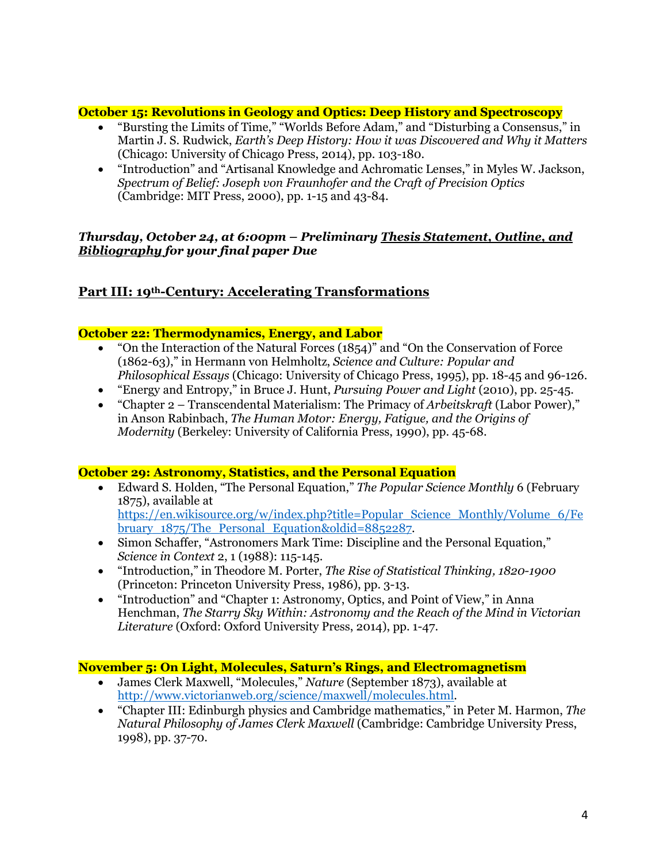#### **October 15: Revolutions in Geology and Optics: Deep History and Spectroscopy**

- "Bursting the Limits of Time," "Worlds Before Adam," and "Disturbing a Consensus," in Martin J. S. Rudwick, *Earth's Deep History: How it was Discovered and Why it Matters* (Chicago: University of Chicago Press, 2014), pp. 103-180.
- "Introduction" and "Artisanal Knowledge and Achromatic Lenses," in Myles W. Jackson, *Spectrum of Belief: Joseph von Fraunhofer and the Craft of Precision Optics* (Cambridge: MIT Press, 2000), pp. 1-15 and 43-84.

#### *Thursday, October 24, at 6:00pm – Preliminary Thesis Statement, Outline, and Bibliography for your final paper Due*

# **Part III: 19th-Century: Accelerating Transformations**

#### **October 22: Thermodynamics, Energy, and Labor**

- "On the Interaction of the Natural Forces (1854)" and "On the Conservation of Force (1862-63)," in Hermann von Helmholtz, *Science and Culture: Popular and Philosophical Essays* (Chicago: University of Chicago Press, 1995), pp. 18-45 and 96-126.
- "Energy and Entropy," in Bruce J. Hunt, *Pursuing Power and Light* (2010), pp. 25-45.
- "Chapter 2 Transcendental Materialism: The Primacy of *Arbeitskraft* (Labor Power)," in Anson Rabinbach, *The Human Motor: Energy, Fatigue, and the Origins of Modernity* (Berkeley: University of California Press, 1990), pp. 45-68.

#### **October 29: Astronomy, Statistics, and the Personal Equation**

- Edward S. Holden, "The Personal Equation," *The Popular Science Monthly* 6 (February 1875), available at https://en.wikisource.org/w/index.php?title=Popular\_Science\_Monthly/Volume\_6/Fe bruary\_1875/The\_Personal\_Equation&oldid=8852287.
- Simon Schaffer, "Astronomers Mark Time: Discipline and the Personal Equation," *Science in Context* 2, 1 (1988): 115-145.
- "Introduction," in Theodore M. Porter, *The Rise of Statistical Thinking, 1820-1900*  (Princeton: Princeton University Press, 1986), pp. 3-13.
- "Introduction" and "Chapter 1: Astronomy, Optics, and Point of View," in Anna Henchman, *The Starry Sky Within: Astronomy and the Reach of the Mind in Victorian Literature* (Oxford: Oxford University Press, 2014), pp. 1-47.

#### **November 5: On Light, Molecules, Saturn's Rings, and Electromagnetism**

- James Clerk Maxwell, "Molecules," *Nature* (September 1873), available at http://www.victorianweb.org/science/maxwell/molecules.html.
- "Chapter III: Edinburgh physics and Cambridge mathematics," in Peter M. Harmon, *The Natural Philosophy of James Clerk Maxwell* (Cambridge: Cambridge University Press, 1998), pp. 37-70.